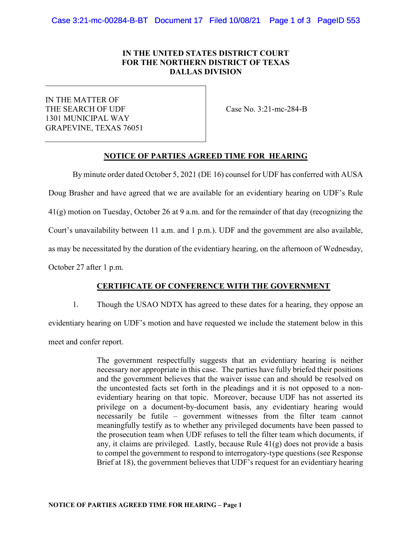## IN THE UNITED STATES DISTRICT COURT FOR THE NORTHERN DISTRICT OF TEXAS DALLAS DIVISION

IN THE MATTER OF THE SEARCH OF UDF 1301 MUNICIPAL WAY GRAPEVINE, TEXAS 76051

Case No. 3:21-mc-284-B

### NOTICE OF PARTIES AGREED TIME FOR HEARING

By minute order dated October 5, 2021 (DE 16) counsel for UDF has conferred with AUSA Doug Brasher and have agreed that we are available for an evidentiary hearing on UDF's Rule 41(g) motion on Tuesday, October 26 at 9 a.m. and for the remainder of that day (recognizing the Court's unavailability between 11 a.m. and 1 p.m.). UDF and the government are also available, as may be necessitated by the duration of the evidentiary hearing, on the afternoon of Wednesday, October 27 after 1 p.m.

### CERTIFICATE OF CONFERENCE WITH THE GOVERNMENT

1. Though the USAO NDTX has agreed to these dates for a hearing, they oppose an evidentiary hearing on UDF's motion and have requested we include the statement below in this meet and confer report.

> The government respectfully suggests that an evidentiary hearing is neither necessary nor appropriate in this case. The parties have fully briefed their positions and the government believes that the waiver issue can and should be resolved on the uncontested facts set forth in the pleadings and it is not opposed to a nonevidentiary hearing on that topic. Moreover, because UDF has not asserted its privilege on a document-by-document basis, any evidentiary hearing would necessarily be futile – government witnesses from the filter team cannot meaningfully testify as to whether any privileged documents have been passed to the prosecution team when UDF refuses to tell the filter team which documents, if any, it claims are privileged. Lastly, because Rule 41(g) does not provide a basis to compel the government to respond to interrogatory-type questions (see Response Brief at 18), the government believes that UDF's request for an evidentiary hearing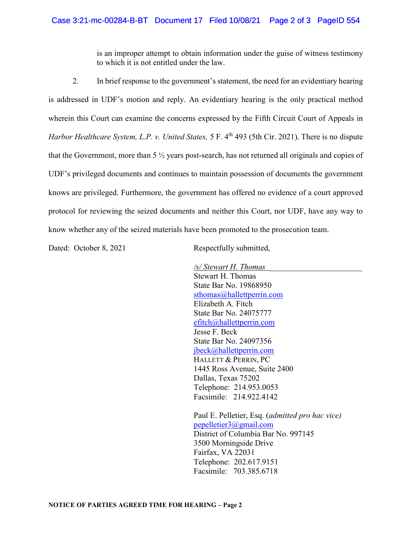is an improper attempt to obtain information under the guise of witness testimony to which it is not entitled under the law.

2. In brief response to the government's statement, the need for an evidentiary hearing is addressed in UDF's motion and reply. An evidentiary hearing is the only practical method wherein this Court can examine the concerns expressed by the Fifth Circuit Court of Appeals in Harbor Healthcare System, L.P. v. United States, 5 F. 4<sup>th</sup> 493 (5th Cir. 2021). There is no dispute that the Government, more than 5 ½ years post-search, has not returned all originals and copies of UDF's privileged documents and continues to maintain possession of documents the government knows are privileged. Furthermore, the government has offered no evidence of a court approved protocol for reviewing the seized documents and neither this Court, nor UDF, have any way to know whether any of the seized materials have been promoted to the prosecution team.

Dated: October 8, 2021 Respectfully submitted,

 /s/ Stewart H. Thomas \_\_\_\_\_\_\_\_\_\_\_\_\_\_\_\_\_\_\_\_\_\_\_ Stewart H. Thomas State Bar No. 19868950 sthomas@hallettperrin.com Elizabeth A. Fitch State Bar No. 24075777 efitch@hallettperrin.com Jesse F. Beck State Bar No. 24097356 jbeck@hallettperrin.com HALLETT & PERRIN, PC 1445 Ross Avenue, Suite 2400 Dallas, Texas 75202 Telephone: 214.953.0053 Facsimile: 214.922.4142 Paul E. Pelletier, Esq. (admitted pro hac vice)

pepelletier3@gmail.com District of Columbia Bar No. 997145 3500 Morningside Drive Fairfax, VA 22031 Telephone: 202.617.9151 Facsimile: 703.385.6718